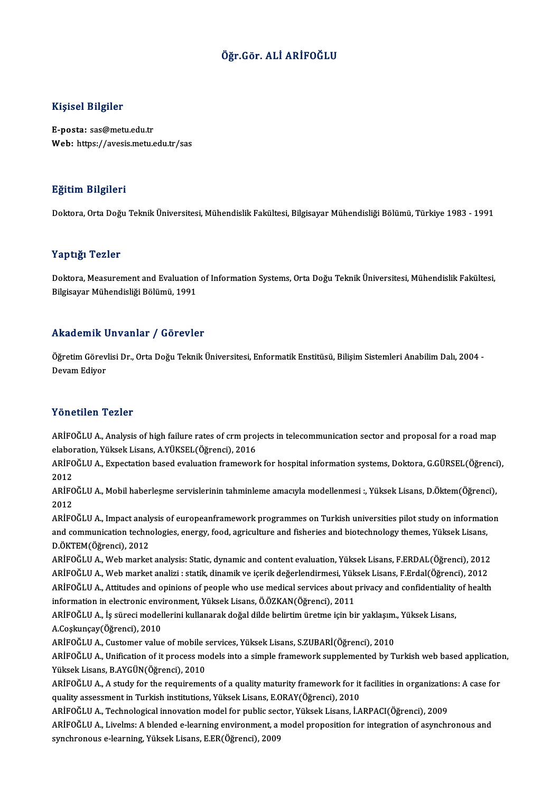## Öğr.Gör. ALİ ARİFOĞLU

## Kişisel Bilgiler

E-posta: sas@metu.edu.tr Web: https://avesis.metu.edu.tr/sas

### Eğitim Bilgileri

Doktora,OrtaDoğuTeknikÜniversitesi,MühendislikFakültesi,BilgisayarMühendisliğiBölümü,Türkiye 1983 -1991

### Yaptığı Tezler

Yaptığı Tezler<br>Doktora, Measurement and Evaluation of Information Systems, Orta Doğu Teknik Üniversitesi, Mühendislik Fakültesi,<br>Bilgisavar Mühendisliği Bölümü, 1991 1 ap aga 1 olirer<br>Doktora, Measurement and Evaluation<br>Bilgisayar Mühendisliği Bölümü, 1991

## Bilgisayar Mühendisliği Bölümü, 1991<br>Akademik Unvanlar / Görevler

Akademik Unvanlar / Görevler<br>Öğretim Görevlisi Dr., Orta Doğu Teknik Üniversitesi, Enformatik Enstitüsü, Bilişim Sistemleri Anabilim Dalı, 2004 -<br>Devam Ediyer rrraacrmme<br>Öğretim Görev<br>Devam Ediyor Devam Ediyor<br>Yönetilen Tezler

Yönetilen Tezler<br>ARİFOĞLU A., Analysis of high failure rates of crm projects in telecommunication sector and proposal for a road map<br>alaboration Yüksek Lisans, A Yüksek (Öğrensi), 2016 elaboration, Yüksek<br>ARİFOĞLU A., Analysis of high failure rates of crm proj<br>elaboration, Yüksek Lisans, A.YÜKSEL(Öğrenci), 2016<br>ARİFOĞLU A., Evnestation based eveluation frameveri ARİFOĞLU A., Analysis of high failure rates of crm projects in telecommunication sector and proposal for a road map<br>elaboration, Yüksek Lisans, A.YÜKSEL(Öğrenci), 2016<br>ARİFOĞLU A., Expectation based evaluation framework fo

elaboration, Yüksek Lisans, A.YÜKSEL(Öğrenci), 2016<br>ARİFOĞLU A., Expectation based evaluation framewor<br>2012 ARİFOĞLU A., Expectation based evaluation framework for hospital information systems, Doktora, G.GÜRSEL(Öğrenci<br>2012<br>ARİFOĞLU A., Mobil haberleşme servislerinin tahminleme amacıyla modellenmesi :, Yüksek Lisans, D.Öktem(Öğ

ARİFOĞLU A., Mobil haberleşme servislerinin tahminleme amacıyla modellenmesi :, Yüksek Lisans, D.Öktem(Öğrenci),<br>2012 ARİFOĞLU A., Mobil haberleşme servislerinin tahminleme amacıyla modellenmesi :, Yüksek Lisans, D.Öktem(Öğrenci),<br>2012<br>ARİFOĞLU A., Impact analysis of europeanframework programmes on Turkish universities pilot study on info

2012<br>ARİFOĞLU A., Impact analysis of europeanframework programmes on Turkish universities pilot study on informati<br>and communication technologies, energy, food, agriculture and fisheries and biotechnology themes, Yüksek Li ARİFOĞLU A., Impact analy<br>and communication techno<br>D.ÖKTEM(Öğrenci), 2012<br>APİFOĞLU A. Web markat and communication technologies, energy, food, agriculture and fisheries and biotechnology themes, Yüksek Lisans,<br>D.ÖKTEM(Öğrenci), 2012<br>ARİFOĞLU A., Web market analysis: Static, dynamic and content evaluation, Yüksek Lisan

D.ÖKTEM(Öğrenci), 2012<br>ARİFOĞLU A., Web market analysis: Static, dynamic and content evaluation, Yüksek Lisans, F.ERDAL(Öğrenci), 2012<br>ARİFOĞLU A., Web market analizi : statik, dinamik ve içerik değerlendirmesi, Yüksek Lis ARİFOĞLU A., Web market analysis: Static, dynamic and content evaluation, Yüksek Lisans, F.ERDAL(Öğrenci), 2012<br>ARİFOĞLU A., Web market analizi : statik, dinamik ve içerik değerlendirmesi, Yüksek Lisans, F.Erdal(Öğrenci), ARİFOĞLU A., Web market analizi : statik, dinamik ve içerik değerlendirmesi, Yük<br>ARİFOĞLU A., Attitudes and opinions of people who use medical services about p<br>information in electronic environment, Yüksek Lisans, Ö.ÖZKAN( ARİFOĞLU A., Attitudes and opinions of people who use medical services about privacy and confidentiality of health<br>information in electronic environment, Yüksek Lisans, Ö.ÖZKAN(Öğrenci), 2011<br>ARİFOĞLU A., İş süreci modelle

information in electronic envi<br>ARİFOĞLU A., İş süreci model<br>A.Coşkunçay(Öğrenci), 2010<br>APİFOĞLU A. Gustamar valua ARİFOĞLU A., İş süreci modellerini kullanarak doğal dilde belirtim üretme için bir yaklaşım.<br>A.Coşkunçay(Öğrenci), 2010<br>ARİFOĞLU A., Customer value of mobile services, Yüksek Lisans, S.ZUBARİ(Öğrenci), 2010<br>ARİFOĞLU A., Un

ARİFOĞLU A., Unification of it process models into a simple framework supplemented by Turkish web based application,<br>Yüksek Lisans, B.AYGÜN(Öğrenci), 2010 ARİFOĞLU A., Customer value of mobile s<br>ARİFOĞLU A., Unification of it process mo<br>Yüksek Lisans, B.AYGÜN(Öğrenci), 2010<br>ARİFOĞLU A. A study for the nequiremen ARİFOĞLU A., Unification of it process models into a simple framework supplemented by Turkish web based applicatio<br>Yüksek Lisans, B.AYGÜN(Öğrenci), 2010<br>ARİFOĞLU A., A study for the requirements of a quality maturity frame

Yüksek Lisans, B.AYGÜN(Öğrenci), 2010<br>ARİFOĞLU A., A study for the requirements of a quality maturity framework for it<br>quality assessment in Turkish institutions, Yüksek Lisans, E.ORAY(Öğrenci), 2010<br>ARİFOĞLU A. Teshneləgi ARİFOĞLU A., A study for the requirements of a quality maturity framework for it facilities in organization<br>quality assessment in Turkish institutions, Yüksek Lisans, E.ORAY(Öğrenci), 2010<br>ARİFOĞLU A., Technological innova

quality assessment in Turkish institutions, Yüksek Lisans, E.ORAY(Öğrenci), 2010<br>ARİFOĞLU A., Technological innovation model for public sector, Yüksek Lisans, İ.ARPACI(Öğrenci), 2009<br>ARİFOĞLU A., Livelms: A blended e-learn ARİFOĞLU A., Technological innovation model for public sec<br>ARİFOĞLU A., Livelms: A blended e-learning environment, a<br>synchronous e-learning, Yüksek Lisans, E.ER(Öğrenci), 2009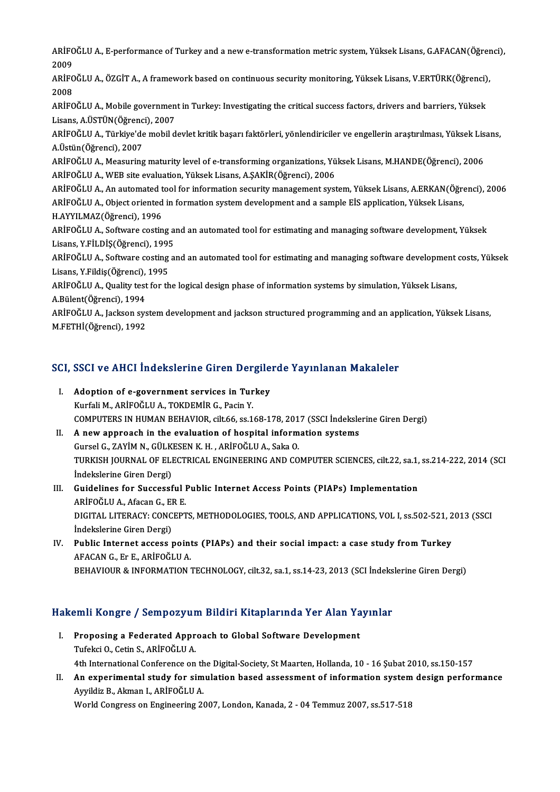ARİFOĞLU A., E-performance of Turkey and a new e-transformation metric system, Yüksek Lisans, G.AFACAN(Öğrenci),<br>2009 ARİFC<br>2009<br>ARİEC ARİFOĞLU A., E-performance of Turkey and a new e-transformation metric system, Yüksek Lisans, G.AFACAN(Öğrer<br>2009<br>ARİFOĞLU A., ÖZGİT A., A framework based on continuous security monitoring, Yüksek Lisans, V.ERTÜRK(Öğrenci)

2009<br>ARİFOĞLU A., ÖZGİT A., A framework based on continuous security monitoring, Yüksek Lisans, V.ERTÜRK(Öğrenci),<br>2008 ARİFOĞLU A., ÖZGİT A., A framework based on continuous security monitoring, Yüksek Lisans, V.ERTÜRK(Öğrenci)<br>2008<br>ARİFOĞLU A., Mobile government in Turkey: Investigating the critical success factors, drivers and barriers,

2008<br>ARİFOĞLU A., Mobile governmen<br>Lisans, A.ÜSTÜN(Öğrenci), 2007<br>ARİFOĞLU A., Türkiye'de mebil d ARİFOĞLU A., Mobile government in Turkey: Investigating the critical success factors, drivers and barriers, Yüksek<br>Lisans, A.ÜSTÜN(Öğrenci), 2007<br>ARİFOĞLU A., Türkiye'de mobil devlet kritik başarı faktörleri, yönlendiricil

Lisans, A.ÜSTÜN(Öğrenc<br>ARİFOĞLU A., Türkiye'de<br>A.Üstün(Öğrenci), 2007<br>ARİFOĞLU A. Moasuring ARİFOĞLU A., Türkiye'de mobil devlet kritik başarı faktörleri, yönlendiriciler ve engellerin araştırılması, Yüksek Lis<br>A.Üstün(Öğrenci), 2007<br>ARİFOĞLU A., Measuring maturity level of e-transforming organizations, Yüksek Li

A.Üstün(Öğrenci), 2007<br>ARİFOĞLU A., Measuring maturity level of e-transforming organizations, Yüksek Lisans, M.HANDE(Öğrenci), 2006<br>ARİFOĞLU A., WEB site evaluation, Yüksek Lisans, A.ŞAKİR(Öğrenci), 2006 ARİFOĞLU A., Measuring maturity level of e-transforming organizations, Yüksek Lisans, M.HANDE(Öğrenci), 2006<br>ARİFOĞLU A., WEB site evaluation, Yüksek Lisans, A.ŞAKİR(Öğrenci), 2006<br>ARİFOĞLU A., An automated tool for inform

ARİFOĞLU A., WEB site evaluation, Yüksek Lisans, A.ŞAKİR(Öğrenci), 2006<br>ARİFOĞLU A., An automated tool for information security management system, Yüksek Lisans, A.ERKAN(Öğre<br>ARİFOĞLU A., Object oriented in formation syste ARİFOĞLU A., An automated t<br>ARİFOĞLU A., Object oriented<br>H.AYYILMAZ(Öğrenci), 1996<br>ARİFOĞLU A., Softurana sastin ARİFOĞLU A., Object oriented in formation system development and a sample EİS application, Yüksek Lisans,<br>H.AYYILMAZ(Öğrenci), 1996<br>ARİFOĞLU A., Software costing and an automated tool for estimating and managing software d

H.AYYILMAZ(Öğrenci), 1996<br>ARİFOĞLU A., Software costing a:<br>Lisans, Y.FİLDİŞ(Öğrenci), 1995<br>ARİFOĞLU A., Softyare sosting a: ARİFOĞLU A., Software costing and an automated tool for estimating and managing software development, Yüksek<br>Lisans, Y.FİLDİŞ(Öğrenci), 1995<br>ARİFOĞLU A., Software costing and an automated tool for estimating and managing s

Lisans, Y.FİLDİŞ(Öğrenci), 1995<br>ARİFOĞLU A., Software costing and an automated tool for estimating and managing software development<br>Lisans, Y.Fildiş(Öğrenci), 1995<br>ARİFOĞLU A., Quality test for the logical design phase of ARİFOĞLU A., Software costing and an automated tool for estimating and managing software development costs, Yüksek<br>Lisans, Y.Fildiş(Öğrenci), 1995<br>ARİFOĞLU A., Quality test for the logical design phase of information syste Lisans, Y Fildiş(Öğrenci), 1995

ARİFOĞLU A., Quality test for the logical design phase of information systems by simulation, Yüksek Lisans,<br>A.Bülent(Öğrenci), 1994<br>ARİFOĞLU A., Jackson system development and jackson structured programming and an applicat

A.Bülent(Öğrenci), 1994<br>ARİFOĞLU A., Jackson sys<br>M.FETHİ(Öğrenci), 1992

# M.FETHI(Ogrenci), 1992<br>SCI, SSCI ve AHCI İndekslerine Giren Dergilerde Yayınlanan Makaleler

- CI, SSCI ve AHCI İndekslerine Giren Dergile<br>I. Adoption of e-government services in Turkey<br>Kurfali M. ARİEQĞLUA, TOKREMİR G. Besin V I. Adoption of e-government services in Turkey<br>Kurfali M., ARİFOĞLU A., TOKDEMİR G., Pacin Y. COMPUTERS INHUMANBEHAVIOR, cilt.66, ss.168-178,2017 (SSCI İndekslerineGirenDergi)
- II. A new approach in the evaluation of hospital information systems GurselG.,ZAYİMN.,GÜLKESENK.H. ,ARİFOĞLUA.,SakaO. A new approach in the evaluation of hospital information systems<br>Gursel G., ZAYİM N., GÜLKESEN K. H. , ARİFOĞLU A., Saka O.<br>TURKISH JOURNAL OF ELECTRICAL ENGINEERING AND COMPUTER SCIENCES, cilt.22, sa.1, ss.214-222, 2014 ( Gursel G., ZAYİM N., GÜLK<br>TURKISH JOURNAL OF ELI<br>İndekslerine Giren Dergi)<br>Cuidelines far Sussessa TURKISH JOURNAL OF ELECTRICAL ENGINEERING AND COMPUTER SCIENCES, cilt.22, sa.1,<br>Indekslerine Giren Dergi)<br>III. Guidelines for Successful Public Internet Access Points (PIAPs) Implementation<br>APIEOČUJA Afesan G ER E
- Indekslerine Giren Dergi)<br>III. Guidelines for Successful Public Internet Access Points (PIAPs) Implementation<br>ARİFOĞLU A.. Afacan G.. ER E. Guidelines for Successful Public Internet Access Points (PIAPs) Implementation<br>ARİFOĞLU A., Afacan G., ER E.<br>DIGITAL LITERACY: CONCEPTS, METHODOLOGIES, TOOLS, AND APPLICATIONS, VOL I, ss.502-521, 2013 (SSCI<br>İndekalarine Ci ARİFOĞLU A., Afacan G., El<br>DIGITAL LITERACY: CONC<br>İndekslerine Giren Dergi)<br>Publis Internat assess DIGITAL LITERACY: CONCEPTS, METHODOLOGIES, TOOLS, AND APPLICATIONS, VOL I, ss.502-521, 2<br>Indekslerine Giren Dergi)<br>IV. Public Internet access points (PIAPs) and their social impact: a case study from Turkey
- İndekslerine Giren Dergi)<br>IV. Public Internet access points (PIAPs) and their social impact: a case study from Turkey<br>AFACAN G., Er E., ARİFOĞLU A. BEHAVIOUR & INFORMATION TECHNOLOGY, cilt.32, sa.1, ss.14-23, 2013 (SCI İndekslerine Giren Dergi)

# BEHAVIOOK & INFORMATION TECHNOLOGY, CILSZ, SA.1, SS.14-23, 2013 (SCI INGERS<br>Hakemli Kongre / Sempozyum Bildiri Kitaplarında Yer Alan Yayınlar

- akemli Kongre / Sempozyum Bildiri Kitaplarında Yer Alan Ya<br>I. Proposing a Federated Approach to Global Software Development<br>Tufoksi O. Cetin S. ARİFOČLUA I. Proposing a Federated Approach to Global Software Development<br>Tufekci O., Cetin S., ARİFOĞLU A. Proposing a Federated Approach to Global Software Development<br>Tufekci O., Cetin S., ARİFOĞLU A.<br>4th International Conference on the Digital-Society, St Maarten, Hollanda, 10 - 16 Şubat 2010, ss.150-157<br>An evnerimental stud
- II. An experimental study for simulation based assessment of information system design performance<br>Ayyildiz B., Akman I., ARİFOĞLU A. 4th International Conference on th<br>An experimental study for sim<br>Ayyildiz B., Akman I., ARİFOĞLU A.<br>Werld Congress en Engineering 24

World Congress on Engineering 2007, London, Kanada, 2 - 04 Temmuz 2007, ss.517-518